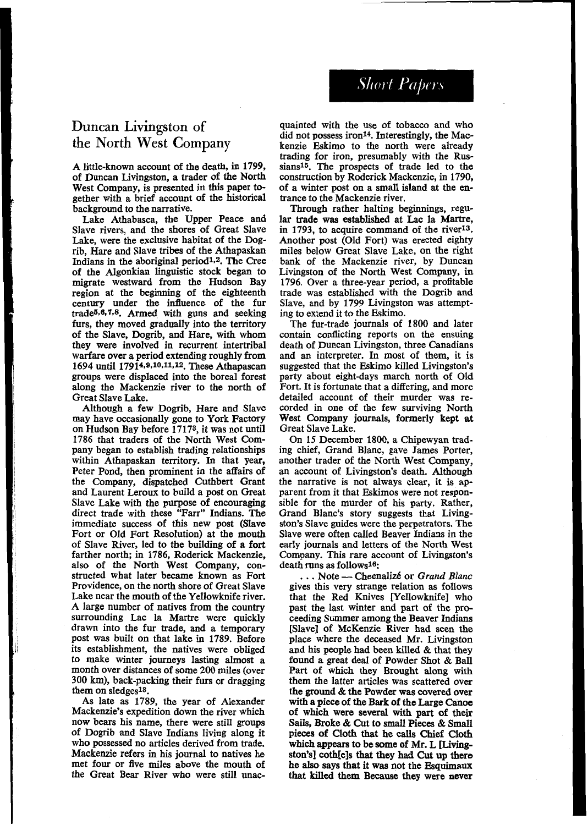**Short Papers** 

## **Duncan** Livingston of the **North West Company**

A little-known account of the death, in **1799,**  of Duncan Livingston, a trader of the North West Company, is presented in this paper together with a brief account of the historical background to the narrative.

Lake Athabasca, the Upper Peace and Slave rivers, and the shores of Great Slave Lake, were the exclusive habitat of the Dogrib, Hare and Slave tribes of the Athapaskan Indians in the aboriginal period1.2. The Cree of the Algonkian linguistic stock began *to*  migrate westward from the Hudson Bay region at the beginning of the eighteenth century under the influence of the fur trade5.6.7.s. Armed with guns and seeking furs, they moved gradually into the territory of the Slave, Dogrib, and Hare, with whom they were involved in recurrent intertribal warfare over a period extending roughly from 1694 until 17914,9,10,11,12. These Athapascan groups were displaced into the boreal forest along the Mackenzie river to the north of Great Slave Lake.

Although a few Dogrib, Hare and Slave<br>may have occasionally gone to York Factory on Hudson Bay before 17173, it was not until **1786** that traders of the North West Company began to establish trading relationships within Athapaskan territory. In that year, Peter Pond, then prominent in the affairs of the Company, dispatched Cuthbert Grant and Laurent Leroux to build a post on Great Slave Lake with the purpose of encouraging direct trade with these "Farr" Indians. The immediate success of this new post (Slave Fort or Old Fort Resolution) at the mouth of Slave River, led to the building of a fort farther north; in **1786,** Roderick Mackenzie, also of the North West Company, constructed what later became known as Fort Providence, on the north shore of Great Slave Lake near the mouth of the Yellowknife river. A large number of natives from the country surrounding Lac la Martre were quickly drawn into the fur trade, and a temporary post was built on that lake in **1789.** Before its establishment, the natives were obliged to make winter journeys lasting almost a month over distances of some *200* miles (over 300 **km),** back-packing their furs or dragging them on sledgesl3.

As late as **1789,** the year of Alexander now bears his name, there were still groups of Dogrib and Slave Indians living along it who possessed no articles derived from trade. Mackenzie refers in his journal to natives he met four or five miles above the mouth of the Great Bear River who were still unacquainted with the use of tobacco and who did not possess iron<sup>14</sup>. Interestingly, the Mackenzie Eskimo to the north were already trading for iron, presumably with the Russians<sup>15</sup>. The prospects of trade led to the construction by Roderick Mackenzie, in **1790,**  of a winter post on a small island at the en- trance to the Mackenzie river.

Through rather halting beginnings, regular **trade was** established at Lac la Martre, in **1793,** to acquire command of the riverls. Another post (Old Fort) was erected eighty miles below Great Slave Lake, on the right bank of the Mackenzie river, by Duncan Livingston of the North West Company, **in 1796.** Over a three-year period, a profitable trade was established with the Dogrib and Slave, and by **1799** Livingston was attempting to extend it to the Eskimo.

The fur-trade journals of **1800** and later contain conflicting reports on the ensuing death of Duncan Livingston, three Canadians and an interpreter. In most of them, it is suggested that the Eskimo killed Livingston's party about eight-days march north of Old detailed account of their murder was re-<br>corded in one of the few surviving North West Company journals, formerly kept **at**  Great Slave Lake.

On 15 December 1800, a Chipewyan trading chief, Grand Blanc, gave James Porter, another trader of the North West Company, an account of Livingston's death. Although the narrative is not always clear, it is apparent from it that Eskimos were not responsible for the murder of his party. Rather, Grand Blanc's story suggests that Livingston's Slave guides were the perpetrators. The Slave were often called Beaver Indians in the early journals and letters of the North West Company. This rare account of Livingston's<br>
death runs as follows<sup>16</sup>;<br>
... Note — Cheenalizé or *Grand Blanc*<br>
gives this very strange relation as follows death runs as follows<sup>16</sup>:<br> $\cdots$  Note — Cheenalizé or *Grand Blanc* 

gives this very strange relation as follows that the Red Knives [Yellowknife] who past the last winter and part of the proceeding Summer among the Beaver Indians [Slave] of McKenzie River had seen the place where the deceased Mr. Livingston and his people had **been** killed & that they found a great deal of Powder Shot & Ball Part of which they Brought along with<br>them the latter articles was scattered over the ground & the Powder was covered over with **a** piece of the Bark of the Large Canoe of which were several with part of their **Sails,** Broke & Cut to *small* **Pieces** & Small pieces of Cloth that he calls Chief Cloth which appears to be some of Mr. L **[Living**ston's] coth[e]s that they had Cut up there he **also** says that it was not the Esquimawr that killed them Because they were never